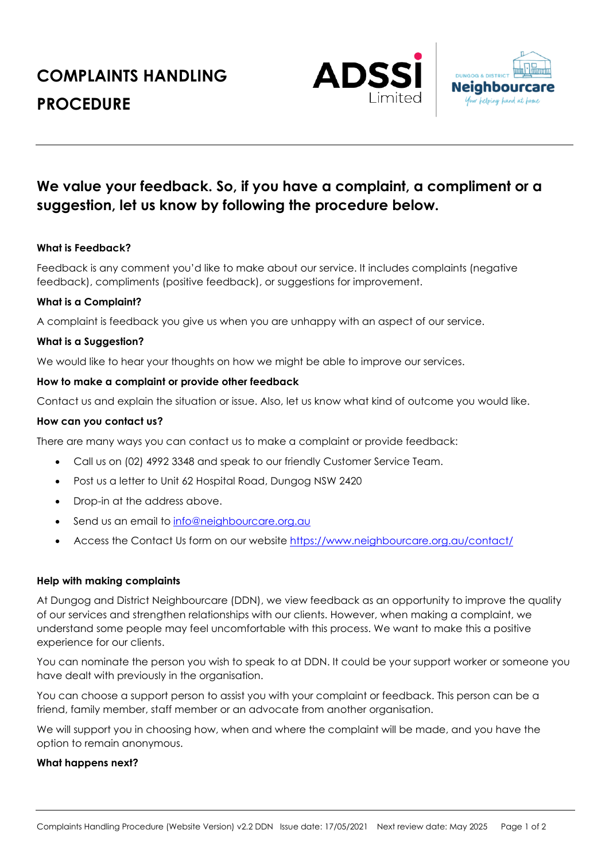# **COMPLAINTS HANDLING PROCEDURE**





# **We value your feedback. So, if you have a complaint, a compliment or a suggestion, let us know by following the procedure below.**

# **What is Feedback?**

Feedback is any comment you'd like to make about our service. It includes complaints (negative feedback), compliments (positive feedback), or suggestions for improvement.

#### **What is a Complaint?**

A complaint is feedback you give us when you are unhappy with an aspect of our service.

#### **What is a Suggestion?**

We would like to hear your thoughts on how we might be able to improve our services.

#### **How to make a complaint or provide other feedback**

Contact us and explain the situation or issue. Also, let us know what kind of outcome you would like.

#### **How can you contact us?**

There are many ways you can contact us to make a complaint or provide feedback:

- Call us on (02) 4992 3348 and speak to our friendly Customer Service Team.
- Post us a letter to Unit 62 Hospital Road, Dungog NSW 2420
- Drop-in at the address above.
- Send us an email to info@neighbourcare.org.au
- Access the Contact Us form on our website https://www.neighbourcare.org.au/contact/

#### **Help with making complaints**

At Dungog and District Neighbourcare (DDN), we view feedback as an opportunity to improve the quality of our services and strengthen relationships with our clients. However, when making a complaint, we understand some people may feel uncomfortable with this process. We want to make this a positive experience for our clients.

You can nominate the person you wish to speak to at DDN. It could be your support worker or someone you have dealt with previously in the organisation.

You can choose a support person to assist you with your complaint or feedback. This person can be a friend, family member, staff member or an advocate from another organisation.

We will support you in choosing how, when and where the complaint will be made, and you have the option to remain anonymous.

#### **What happens next?**